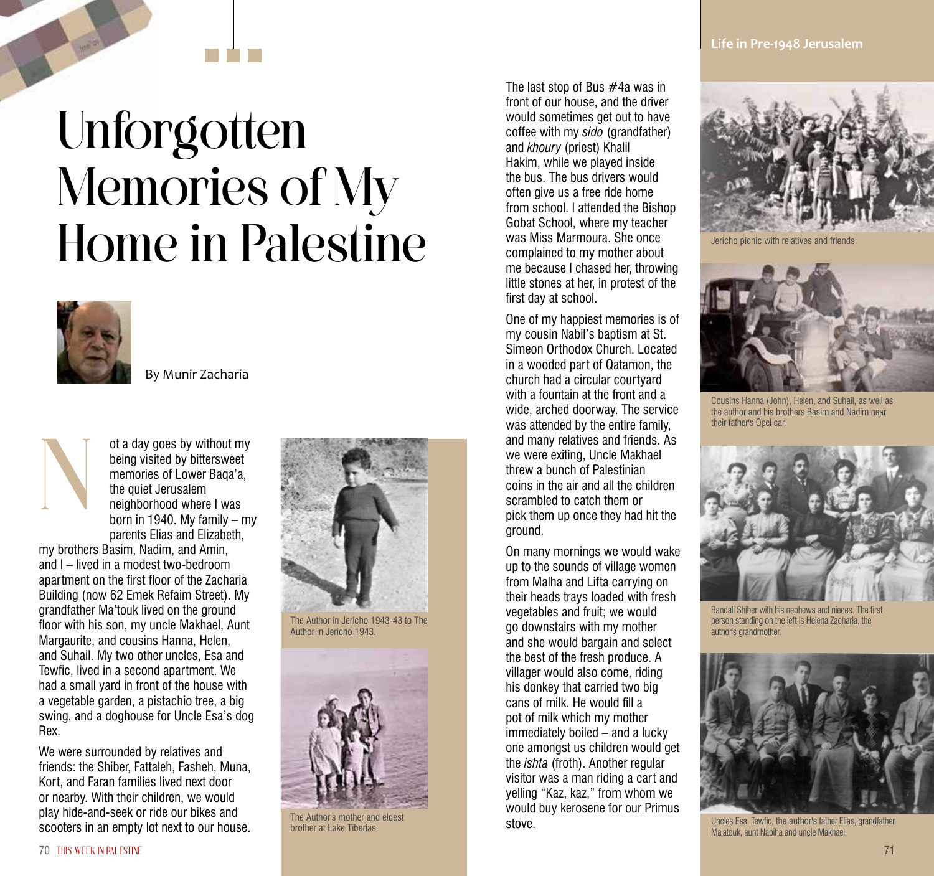**Life in Pre-1948 Jerusalem**

## Unforgotten Memories of My Home in Palestine



By Munir Zacharia



my brothers Basim, Nadim, and Amin, and I – lived in a modest two-bedroom apartment on the first floor of the Zacharia Building (now 62 Emek Refaim Street). My grandfather Ma'touk lived on the ground floor with his son, my uncle Makhael, Aunt Margaurite, and cousins Hanna, Helen, and Suhail. My two other uncles, Esa and Tewfic, lived in a second apartment. We had a small yard in front of the house with a vegetable garden, a pistachio tree, a big swing, and a doghouse for Uncle Esa's dog Rex.

We were surrounded by relatives and friends: the Shiber, Fattaleh, Fasheh, Muna, Kort, and Faran families lived next door or nearby. With their children, we would play hide-and-seek or ride our bikes and scooters in an empty lot next to our house.



The Author in Jericho 1943-43 to The Author in Jericho 1943.



The Author's mother and eldest brother at Lake Tiberias.

The last stop of Bus #4a was in front of our house, and the driver would sometimes get out to have coffee with my *sido* (grandfather) and *khoury* (priest) Khalil Hakim, while we played inside the bus. The bus drivers would often give us a free ride home from school. I attended the Bishop Gobat School, where my teacher was Miss Marmoura. She once complained to my mother about me because I chased her, throwing little stones at her, in protest of the first day at school.

One of my happiest memories is of my cousin Nabil's baptism at St. Simeon Orthodox Church. Located in a wooded part of Qatamon, the church had a circular courtyard with a fountain at the front and a wide, arched doorway. The service was attended by the entire family, and many relatives and friends. As we were exiting, Uncle Makhael threw a bunch of Palestinian coins in the air and all the children scrambled to catch them or pick them up once they had hit the ground.

On many mornings we would wake up to the sounds of village women from Malha and Lifta carrying on their heads trays loaded with fresh vegetables and fruit; we would go downstairs with my mother and she would bargain and select the best of the fresh produce. A villager would also come, riding his donkey that carried two big cans of milk. He would fill a pot of milk which my mother immediately boiled – and a lucky one amongst us children would get the *ishta* (froth). Another regular visitor was a man riding a cart and yelling "Kaz, kaz," from whom we would buy kerosene for our Primus stove.

![](_page_0_Picture_14.jpeg)

Jericho picnic with relatives and friends.

![](_page_0_Picture_16.jpeg)

Cousins Hanna (John), Helen, and Suhail, as well as the author and his brothers Basim and Nadim near their father's Opel car.

![](_page_0_Picture_18.jpeg)

Bandali Shiber with his nephews and nieces. The first person standing on the left is Helena Zacharia, the author's grandmother.

![](_page_0_Picture_20.jpeg)

Uncles Esa, Tewfic, the author's father Elias, grandfather Ma'atouk, aunt Nabiha and uncle Makhael.